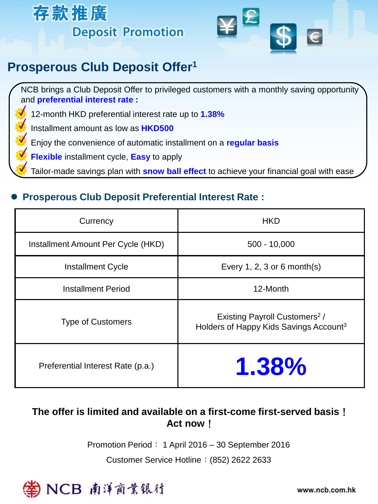



# **Prosperous Club Deposit Offer<sup>1</sup>**

NCB brings a Club Deposit Offer to privileged customers with a monthly saving opportunity and **preferential interest rate :**

• 12-month HKD preferential interest rate up to **1.38%**

• Installment amount as low as **HKD500**

• Enjoy the convenience of automatic installment on a **regular basis**

• **Flexible** installment cycle, **Easy** to apply

• Tailor-made savings plan with **snow ball effect** to achieve your financial goal with ease

### **Prosperous Club Deposit Preferential Interest Rate :**

| Currency                           | <b>HKD</b>                                                                                      |
|------------------------------------|-------------------------------------------------------------------------------------------------|
| Installment Amount Per Cycle (HKD) | $500 - 10,000$                                                                                  |
| <b>Installment Cycle</b>           | Every 1, 2, 3 or 6 month(s)                                                                     |
| <b>Installment Period</b>          | 12-Month                                                                                        |
| <b>Type of Customers</b>           | Existing Payroll Customers <sup>2</sup> /<br>Holders of Happy Kids Savings Account <sup>3</sup> |
| Preferential Interest Rate (p.a.)  | 1.38%                                                                                           |

## **The offer is limited and available on a first-come first-served basis**! **Act now**!

Promotion Period: 1 April 2016 – 30 September 2016

Customer Service Hotline:(852) 2622 2633



www.ncb.com.hk